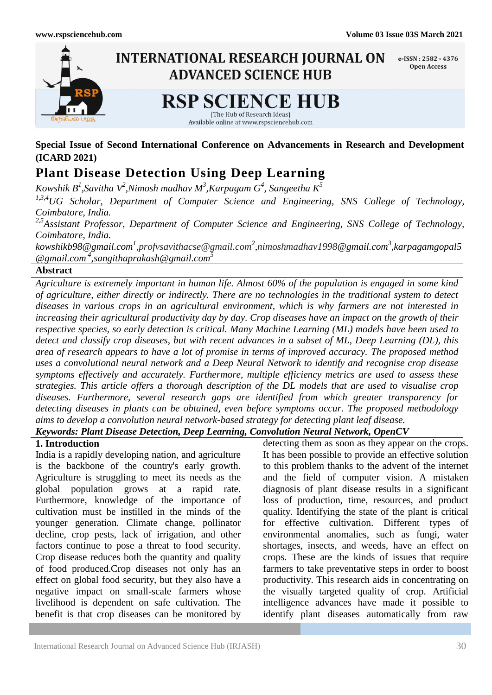

**Special Issue of Second International Conference on Advancements in Research and Development (ICARD 2021)**

# **Plant Disease Detection Using Deep Learning**

 $K$ owshik  $B^1$ ,Savitha V $^2$ ,Nimosh madhav M $^3$ ,Karpagam  $G^4$ , Sangeetha  $K^5$ 

*1,3,4UG Scholar, Department of Computer Science and Engineering, SNS College of Technology, Coimbatore, India.*

*2,5Assistant Professor, Department of Computer Science and Engineering, SNS College of Technology, Coimbatore, India.*

*[kowshikb98@gmail.com](mailto:kowshikb98@gmail.com)<sup>1</sup> ,profvsavithacse@gmail.com<sup>2</sup> ,nimoshmadhav1998@gmail.com<sup>3</sup> [,karpagamgopal5](mailto:@gmail.com3,%20karpagamgopal5@gmail.com%204) [@gmail.com](mailto:@gmail.com3,%20karpagamgopal5@gmail.com%204) <sup>4</sup> ,sangithaprakash@gmail.com<sup>5</sup>*

# **Abstract**

*Agriculture is extremely important in human life. Almost 60% of the population is engaged in some kind of agriculture, either directly or indirectly. There are no technologies in the traditional system to detect diseases in various crops in an agricultural environment, which is why farmers are not interested in increasing their agricultural productivity day by day. Crop diseases have an impact on the growth of their respective species, so early detection is critical. Many Machine Learning (ML) models have been used to detect and classify crop diseases, but with recent advances in a subset of ML, Deep Learning (DL), this area of research appears to have a lot of promise in terms of improved accuracy. The proposed method uses a convolutional neural network and a Deep Neural Network to identify and recognise crop disease symptoms effectively and accurately. Furthermore, multiple efficiency metrics are used to assess these strategies. This article offers a thorough description of the DL models that are used to visualise crop diseases. Furthermore, several research gaps are identified from which greater transparency for detecting diseases in plants can be obtained, even before symptoms occur. The proposed methodology aims to develop a convolution neural network-based strategy for detecting plant leaf disease.*

# *Keywords: Plant Disease Detection, Deep Learning, Convolution Neural Network, OpenCV*

### **1. Introduction**

India is a rapidly developing nation, and agriculture is the backbone of the country's early growth. Agriculture is struggling to meet its needs as the global population grows at a rapid rate. Furthermore, knowledge of the importance of cultivation must be instilled in the minds of the younger generation. Climate change, pollinator decline, crop pests, lack of irrigation, and other factors continue to pose a threat to food security. Crop disease reduces both the quantity and quality of food produced.Crop diseases not only has an effect on global food security, but they also have a negative impact on small-scale farmers whose livelihood is dependent on safe cultivation. The benefit is that crop diseases can be monitored by detecting them as soon as they appear on the crops. It has been possible to provide an effective solution to this problem thanks to the advent of the internet and the field of computer vision. A mistaken diagnosis of plant disease results in a significant loss of production, time, resources, and product quality. Identifying the state of the plant is critical for effective cultivation. Different types of environmental anomalies, such as fungi, water shortages, insects, and weeds, have an effect on crops. These are the kinds of issues that require farmers to take preventative steps in order to boost productivity. This research aids in concentrating on the visually targeted quality of crop. Artificial intelligence advances have made it possible to identify plant diseases automatically from raw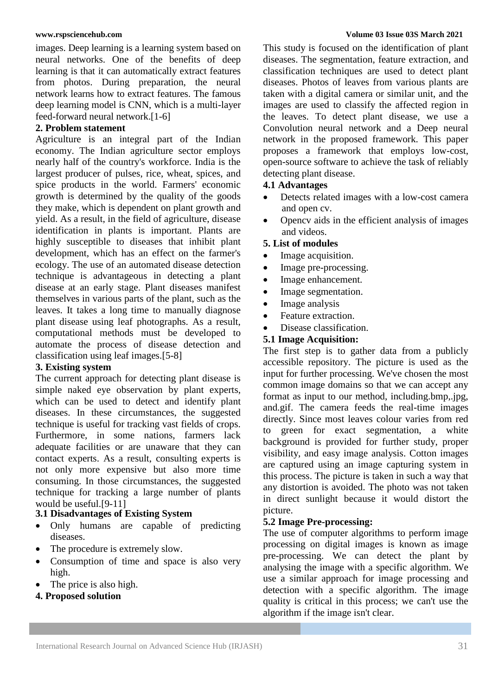images. Deep learning is a learning system based on neural networks. One of the benefits of deep learning is that it can automatically extract features from photos. During preparation, the neural network learns how to extract features. The famous deep learning model is CNN, which is a multi-layer feed-forward neural network.[1-6]

# **2. Problem statement**

Agriculture is an integral part of the Indian economy. The Indian agriculture sector employs nearly half of the country's workforce. India is the largest producer of pulses, rice, wheat, spices, and spice products in the world. Farmers' economic growth is determined by the quality of the goods they make, which is dependent on plant growth and yield. As a result, in the field of agriculture, disease identification in plants is important. Plants are highly susceptible to diseases that inhibit plant development, which has an effect on the farmer's ecology. The use of an automated disease detection technique is advantageous in detecting a plant disease at an early stage. Plant diseases manifest themselves in various parts of the plant, such as the leaves. It takes a long time to manually diagnose plant disease using leaf photographs. As a result, computational methods must be developed to automate the process of disease detection and classification using leaf images.[5-8]

# **3. Existing system**

The current approach for detecting plant disease is simple naked eye observation by plant experts, which can be used to detect and identify plant diseases. In these circumstances, the suggested technique is useful for tracking vast fields of crops. Furthermore, in some nations, farmers lack adequate facilities or are unaware that they can contact experts. As a result, consulting experts is not only more expensive but also more time consuming. In those circumstances, the suggested technique for tracking a large number of plants would be useful.[9-11]

# **3.1 Disadvantages of Existing System**

- Only humans are capable of predicting diseases.
- The procedure is extremely slow.
- Consumption of time and space is also very high.
- The price is also high.
- **4. Proposed solution**

#### **www.rspsciencehub.com Volume 03 Issue 03S March 2021**

This study is focused on the identification of plant diseases. The segmentation, feature extraction, and classification techniques are used to detect plant diseases. Photos of leaves from various plants are taken with a digital camera or similar unit, and the images are used to classify the affected region in the leaves. To detect plant disease, we use a Convolution neural network and a Deep neural network in the proposed framework. This paper proposes a framework that employs low-cost, open-source software to achieve the task of reliably detecting plant disease.

# **4.1 Advantages**

- Detects related images with a low-cost camera and open cv.
- Opencv aids in the efficient analysis of images and videos.

# **5. List of modules**

- Image acquisition.
- Image pre-processing.
- Image enhancement.
- Image segmentation.
- Image analysis
- Feature extraction.
- Disease classification.

# **5.1 Image Acquisition:**

The first step is to gather data from a publicly accessible repository. The picture is used as the input for further processing. We've chosen the most common image domains so that we can accept any format as input to our method, including.bmp,.jpg, and.gif. The camera feeds the real-time images directly. Since most leaves colour varies from red to green for exact segmentation, a white background is provided for further study, proper visibility, and easy image analysis. Cotton images are captured using an image capturing system in this process. The picture is taken in such a way that any distortion is avoided. The photo was not taken in direct sunlight because it would distort the picture.

# **5.2 Image Pre-processing:**

The use of computer algorithms to perform image processing on digital images is known as image pre-processing. We can detect the plant by analysing the image with a specific algorithm. We use a similar approach for image processing and detection with a specific algorithm. The image quality is critical in this process; we can't use the algorithm if the image isn't clear.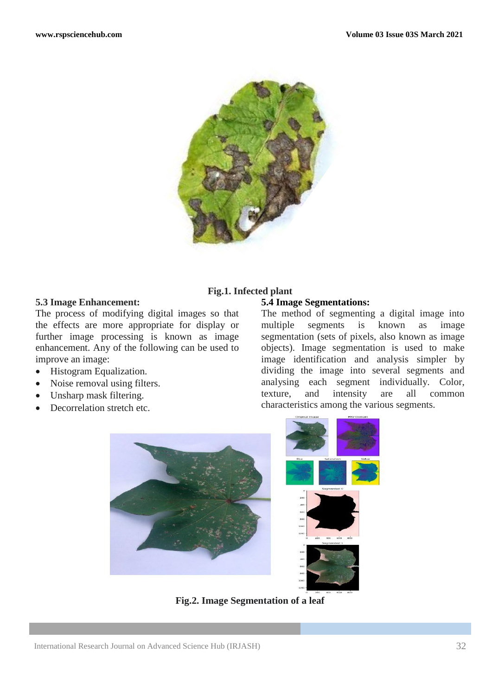

#### **5.3 Image Enhancement:**

The process of modifying digital images so that the effects are more appropriate for display or further image processing is known as image enhancement. Any of the following can be used to improve an image:

- Histogram Equalization.
- Noise removal using filters.
- Unsharp mask filtering.
- Decorrelation stretch etc.

# **Fig.1. Infected plant**

# **5.4 Image Segmentations:**

The method of segmenting a digital image into multiple segments is known as image segmentation (sets of pixels, also known as image objects). Image segmentation is used to make image identification and analysis simpler by dividing the image into several segments and analysing each segment individually. Color, texture, and intensity are all common characteristics among the various segments.



**Fig.2. Image Segmentation of a leaf**